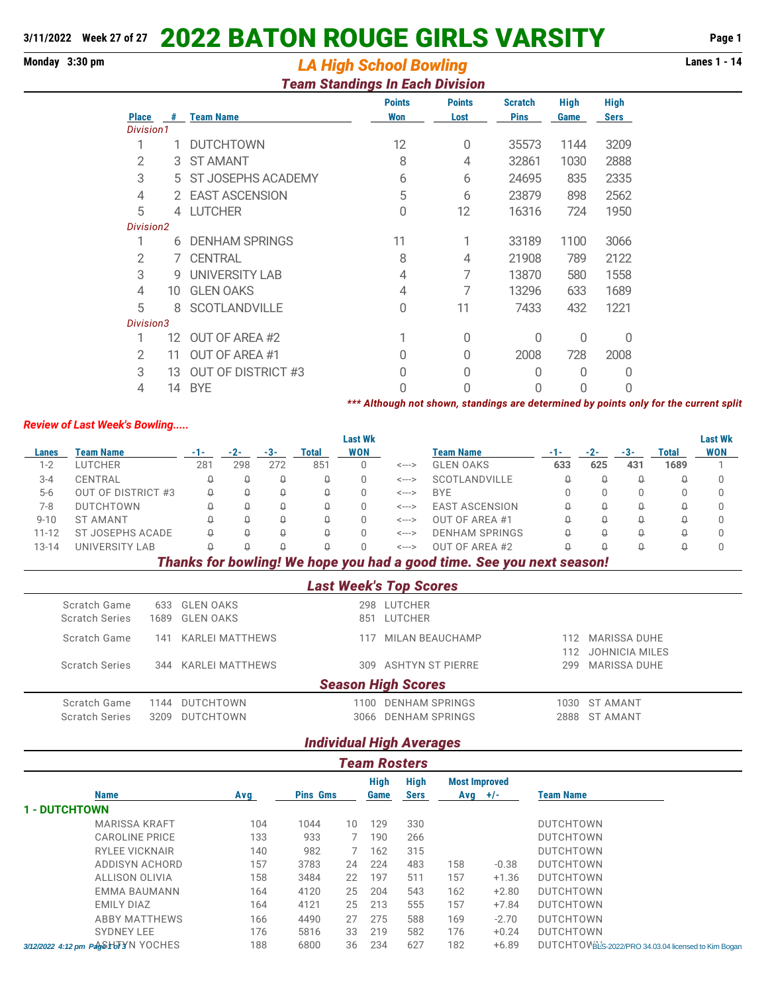# **3/11/2022 Week 27 of 27** 2022 BATON ROUGE GIRLS VARSITY **Page 1**

# **Monday 3:30 pm Lanes 1 - 14** *LA High School Bowling*

## *Team Standings In Each Division*

|              |    |                           | <b>Points</b>                                                                         | <b>Points</b> | <b>Scratch</b> | <b>High</b> | <b>High</b> |  |
|--------------|----|---------------------------|---------------------------------------------------------------------------------------|---------------|----------------|-------------|-------------|--|
| <b>Place</b> | #  | <b>Team Name</b>          | <b>Won</b>                                                                            | Lost          | <b>Pins</b>    | Game        | <b>Sers</b> |  |
| Division1    |    |                           |                                                                                       |               |                |             |             |  |
|              | 1  | <b>DUTCHTOWN</b>          | 12                                                                                    | $\Omega$      | 35573          | 1144        | 3209        |  |
| 2            | 3  | <b>ST AMANT</b>           | 8                                                                                     | 4             | 32861          | 1030        | 2888        |  |
| 3            |    | 5 ST JOSEPHS ACADEMY      | 6                                                                                     | 6             | 24695          | 835         | 2335        |  |
| 4            |    | 2 EAST ASCENSION          | 5                                                                                     | 6             | 23879          | 898         | 2562        |  |
| 5            | 4  | <b>LUTCHER</b>            | 0                                                                                     | 12            | 16316          | 724         | 1950        |  |
| Division2    |    |                           |                                                                                       |               |                |             |             |  |
|              | 6  | <b>DENHAM SPRINGS</b>     | 11                                                                                    |               | 33189          | 1100        | 3066        |  |
| 2            |    | 7 CENTRAL                 | 8                                                                                     | 4             | 21908          | 789         | 2122        |  |
| 3            | 9  | UNIVERSITY LAB            | 4                                                                                     |               | 13870          | 580         | 1558        |  |
| 4            | 10 | <b>GLEN OAKS</b>          | 4                                                                                     |               | 13296          | 633         | 1689        |  |
| 5            | 8  | <b>SCOTLANDVILLE</b>      | 0                                                                                     | 11            | 7433           | 432         | 1221        |  |
| Division3    |    |                           |                                                                                       |               |                |             |             |  |
|              | 12 | OUT OF AREA #2            |                                                                                       | 0             | 0              | 0           | 0           |  |
| 2            | 11 | OUT OF AREA #1            | N                                                                                     | O             | 2008           | 728         | 2008        |  |
| 3            | 13 | <b>OUT OF DISTRICT #3</b> | 0                                                                                     | 0             | 0              | 0           | 0           |  |
| 4            | 14 | <b>BYE</b>                | N                                                                                     | N             | U              | 0           | U           |  |
|              |    |                           | *** Although not shown, standings are determined by points only for the current split |               |                |             |             |  |

#### *Review of Last Week's Bowling.....*

**Last Wk Last Wk Lanes Team Name -1- -2- -3- Total WON Team Name -1- -2- -3- Total WON** 1-2 LUTCHER 281 298 272 851 0 <---> GLEN OAKS **633 625 431 1689** 1 3-4 CENTRAL 0 0 0 0 0 <---> SCOTLANDVILLE 0 0 0 0 0 5-6 OUT OF DISTRICT #3 0 0 0 0 0 <---> BYE 0 0 0 0 0 7-8 DUTCHTOWN 0 0 0 0 0 <---> EAST ASCENSION 0 0 0 0 0 9-10 ST AMANT 0 0 0 0 0 <---> OUT OF AREA #1 0 0 0 0 0 11-12 ST JOSEPHS ACADE Q Q Q Q Q Q C---> DENHAM SPRINGS Q Q Q Q Q Q 13-14 UNIVERSITY LAB 0 0 0 0 0 <---> OUT OF AREA #2 0 0 0 0 0

### *Thanks for bowling! We hope you had a good time. See you next season!*

|                           | <b>Last Week's Top Scores</b> |      |                     |      |                      |      |                |  |  |  |  |
|---------------------------|-------------------------------|------|---------------------|------|----------------------|------|----------------|--|--|--|--|
|                           | Scratch Game                  |      | 633 GLEN OAKS       |      | 298 LUTCHER          |      |                |  |  |  |  |
|                           | <b>Scratch Series</b>         |      | 1689 GLEN OAKS      | 851  | LUTCHER              |      |                |  |  |  |  |
|                           | Scratch Game                  | 141  | KARLEI MATTHEWS     | 117  | MILAN BEAUCHAMP      | 112. | MARISSA DUHE   |  |  |  |  |
|                           |                               |      |                     |      |                      | 112. | JOHNICIA MILES |  |  |  |  |
|                           | <b>Scratch Series</b>         |      | 344 KARLEI MATTHEWS |      | 309 ASHTYN ST PIERRE | 299  | MARISSA DUHE   |  |  |  |  |
| <b>Season High Scores</b> |                               |      |                     |      |                      |      |                |  |  |  |  |
|                           | Scratch Game                  |      | 1144 DUTCHTOWN      | 1100 | DENHAM SPRINGS       |      | 1030 ST AMANT  |  |  |  |  |
|                           | <b>Scratch Series</b>         | 3209 | <b>DUTCHTOWN</b>    |      | 3066 DENHAM SPRINGS  |      | 2888 ST AMANT  |  |  |  |  |
|                           |                               |      |                     |      |                      |      |                |  |  |  |  |

# *Individual High Averages*

| <b>Team Rosters</b>                 |     |                 |                 |              |      |                                   |         |                                                      |  |  |  |
|-------------------------------------|-----|-----------------|-----------------|--------------|------|-----------------------------------|---------|------------------------------------------------------|--|--|--|
| <b>Name</b>                         |     |                 |                 | High<br>Game | High | <b>Most Improved</b><br>$Avg$ +/- |         | <b>Team Name</b>                                     |  |  |  |
|                                     | Avg | <b>Pins Gms</b> |                 |              | Sers |                                   |         |                                                      |  |  |  |
| <b>1 - DUTCHTOWN</b>                |     |                 |                 |              |      |                                   |         |                                                      |  |  |  |
| <b>MARISSA KRAFT</b>                | 104 | 1044            | 10 <sup>°</sup> | 129          | 330  |                                   |         | <b>DUTCHTOWN</b>                                     |  |  |  |
| <b>CAROLINE PRICE</b>               | 133 | 933             |                 | 190          | 266  |                                   |         | <b>DUTCHTOWN</b>                                     |  |  |  |
| <b>RYLEE VICKNAIR</b>               | 140 | 982             |                 | 162          | 315  |                                   |         | <b>DUTCHTOWN</b>                                     |  |  |  |
| ADDISYN ACHORD                      | 157 | 3783            | 24              | 224          | 483  | 158                               | $-0.38$ | <b>DUTCHTOWN</b>                                     |  |  |  |
| ALLISON OLIVIA                      | 158 | 3484            | 22              | 197          | 511  | 157                               | $+1.36$ | <b>DUTCHTOWN</b>                                     |  |  |  |
| EMMA BAUMANN                        | 164 | 4120            | 25              | 204          | 543  | 162                               | $+2.80$ | <b>DUTCHTOWN</b>                                     |  |  |  |
| <b>EMILY DIAZ</b>                   | 164 | 4121            | 25              | 213          | 555  | 157                               | $+7.84$ | <b>DUTCHTOWN</b>                                     |  |  |  |
| <b>ABBY MATTHEWS</b>                | 166 | 4490            | 27              | 275          | 588  | 169                               | $-2.70$ | <b>DUTCHTOWN</b>                                     |  |  |  |
| <b>SYDNEY LEE</b>                   | 176 | 5816            | 33              | 219          | 582  | 176                               | $+0.24$ | <b>DUTCHTOWN</b>                                     |  |  |  |
| 3/12/2022 4:12 pm Pdg6+bF3'N YOCHES | 188 | 6800            | 36              | 234          | 627  | 182                               | $+6.89$ | DUTCHTOVBL'S-2022/PRO 34.03.04 licensed to Kim Bogan |  |  |  |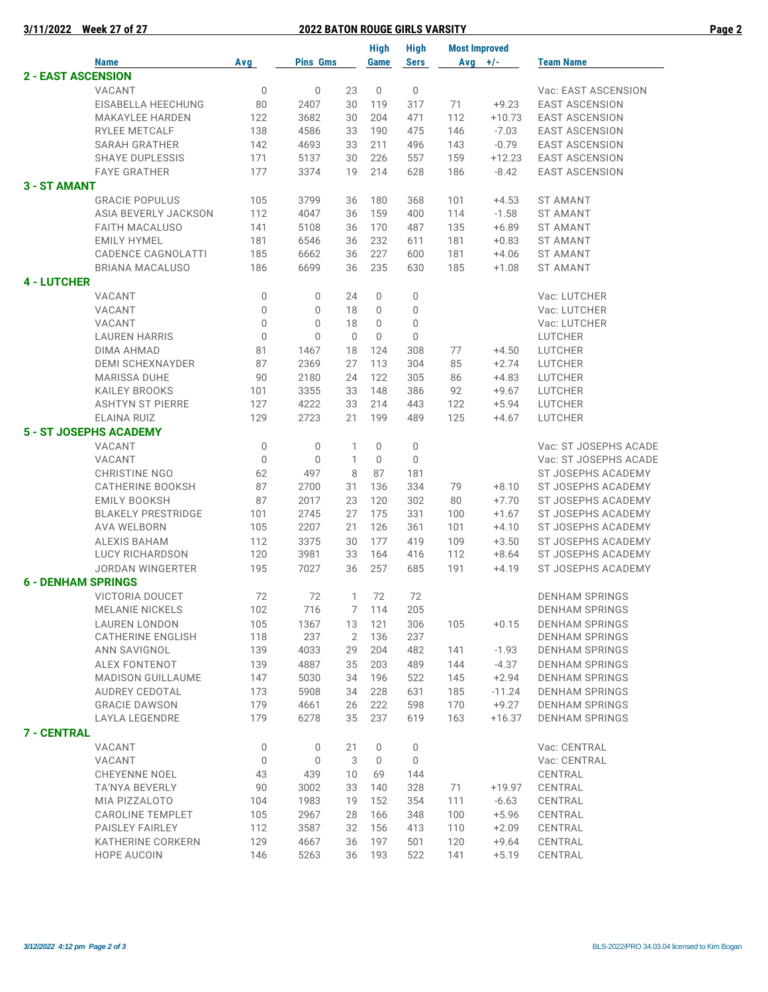| <b>Week 27 of 27</b><br>3/11/2022<br><b>2022 BATON ROUGE GIRLS VARSITY</b> |                                  |                            |                            |                |             |                            |                      |                    | Page 2                       |  |
|----------------------------------------------------------------------------|----------------------------------|----------------------------|----------------------------|----------------|-------------|----------------------------|----------------------|--------------------|------------------------------|--|
|                                                                            |                                  |                            |                            |                | <b>High</b> | <b>High</b>                | <b>Most Improved</b> |                    |                              |  |
|                                                                            | <b>Name</b>                      | <b>Avg</b>                 | <b>Pins Gms</b>            |                | Game        | <b>Sers</b>                | Avg $+/-$            |                    | <b>Team Name</b>             |  |
|                                                                            | <b>2 - EAST ASCENSION</b>        |                            |                            |                |             |                            |                      |                    |                              |  |
|                                                                            | VACANT                           | $\mathbf 0$                | $\mathbf 0$                | 23             | 0           | 0                          |                      |                    | Vac: EAST ASCENSION          |  |
|                                                                            | EISABELLA HEECHUNG               | 80                         | 2407                       | 30             | 119         | 317                        | 71                   | $+9.23$            | <b>EAST ASCENSION</b>        |  |
|                                                                            | <b>MAKAYLEE HARDEN</b>           | 122                        | 3682                       | 30             | 204         | 471                        | 112                  | $+10.73$           | <b>EAST ASCENSION</b>        |  |
|                                                                            | RYLEE METCALF                    | 138                        | 4586                       | 33             | 190         | 475                        | 146                  | $-7.03$            | <b>EAST ASCENSION</b>        |  |
|                                                                            | <b>SARAH GRATHER</b>             | 142                        | 4693                       | 33             | 211         | 496                        | 143                  | $-0.79$            | <b>EAST ASCENSION</b>        |  |
|                                                                            | <b>SHAYE DUPLESSIS</b>           | 171                        | 5137                       | 30             | 226         | 557                        | 159                  | $+12.23$           | <b>EAST ASCENSION</b>        |  |
|                                                                            | <b>FAYE GRATHER</b>              | 177                        | 3374                       | 19             | 214         | 628                        | 186                  | $-8.42$            | <b>EAST ASCENSION</b>        |  |
| 3 - ST AMANT                                                               |                                  |                            |                            |                |             |                            |                      |                    |                              |  |
|                                                                            | <b>GRACIE POPULUS</b>            | 105                        | 3799                       | 36             | 180         | 368                        | 101                  | $+4.53$            | <b>ST AMANT</b>              |  |
|                                                                            | ASIA BEVERLY JACKSON             | 112                        | 4047                       | 36             | 159         | 400                        | 114                  | $-1.58$            | <b>ST AMANT</b>              |  |
|                                                                            | <b>FAITH MACALUSO</b>            | 141                        | 5108                       | 36             | 170         | 487                        | 135                  | $+6.89$            | <b>ST AMANT</b>              |  |
|                                                                            | <b>EMILY HYMEL</b>               | 181                        | 6546                       | 36             | 232         | 611                        | 181                  | $+0.83$            | <b>ST AMANT</b>              |  |
|                                                                            | CADENCE CAGNOLATTI               | 185                        | 6662                       | 36             | 227         | 600                        | 181                  | $+4.06$            | <b>ST AMANT</b>              |  |
|                                                                            | <b>BRIANA MACALUSO</b>           | 186                        | 6699                       | 36             | 235         | 630                        | 185                  | $+1.08$            | <b>ST AMANT</b>              |  |
| <b>4 - LUTCHER</b>                                                         |                                  |                            |                            |                |             |                            |                      |                    |                              |  |
|                                                                            | VACANT                           | $\mathbf 0$                | 0                          | 24             | 0           | 0                          |                      |                    | Vac: LUTCHER                 |  |
|                                                                            | VACANT<br>VACANT                 | $\mathbf 0$<br>$\mathbf 0$ | $\mathbf 0$<br>$\mathbf 0$ | 18<br>18       | 0<br>0      | $\mathbf 0$<br>$\mathbb O$ |                      |                    | Vac: LUTCHER<br>Vac: LUTCHER |  |
|                                                                            | <b>LAUREN HARRIS</b>             | $\mathbf 0$                | 0                          | $\mathbb O$    | $\mathbf 0$ | $\mathbb O$                |                      |                    | <b>LUTCHER</b>               |  |
|                                                                            | DIMA AHMAD                       | 81                         | 1467                       | 18             | 124         | 308                        | 77                   | $+4.50$            | LUTCHER                      |  |
|                                                                            | <b>DEMI SCHEXNAYDER</b>          | 87                         | 2369                       | 27             | 113         | 304                        | 85                   | $+2.74$            | <b>LUTCHER</b>               |  |
|                                                                            | <b>MARISSA DUHE</b>              | 90                         | 2180                       | 24             | 122         | 305                        | 86                   | $+4.83$            | LUTCHER                      |  |
|                                                                            | <b>KAILEY BROOKS</b>             | 101                        | 3355                       | 33             | 148         | 386                        | 92                   | $+9.67$            | LUTCHER                      |  |
|                                                                            | <b>ASHTYN ST PIERRE</b>          | 127                        | 4222                       | 33             | 214         | 443                        | 122                  | $+5.94$            | LUTCHER                      |  |
|                                                                            | ELAINA RUIZ                      | 129                        | 2723                       | 21             | 199         | 489                        | 125                  | $+4.67$            | <b>LUTCHER</b>               |  |
|                                                                            | <b>5 - ST JOSEPHS ACADEMY</b>    |                            |                            |                |             |                            |                      |                    |                              |  |
|                                                                            | VACANT                           | $\mathbf 0$                | $\mathbf 0$                | 1              | 0           | 0                          |                      |                    | Vac: ST JOSEPHS ACADE        |  |
|                                                                            | VACANT                           | $\mathbf 0$                | $\mathbf 0$                | 1              | 0           | 0                          |                      |                    | Vac: ST JOSEPHS ACADE        |  |
|                                                                            | <b>CHRISTINE NGO</b>             | 62                         | 497                        | 8              | 87          | 181                        |                      |                    | ST JOSEPHS ACADEMY           |  |
|                                                                            | <b>CATHERINE BOOKSH</b>          | 87                         | 2700                       | 31             | 136         | 334                        | 79                   | $+8.10$            | ST JOSEPHS ACADEMY           |  |
|                                                                            | <b>EMILY BOOKSH</b>              | 87                         | 2017                       | 23             | 120         | 302                        | 80                   | $+7.70$            | ST JOSEPHS ACADEMY           |  |
|                                                                            | <b>BLAKELY PRESTRIDGE</b>        | 101                        | 2745                       | 27             | 175         | 331                        | 100                  | $+1.67$            | <b>ST JOSEPHS ACADEMY</b>    |  |
|                                                                            | <b>AVA WELBORN</b>               | 105                        | 2207                       | 21             | 126         | 361                        | 101                  | $+4.10$            | ST JOSEPHS ACADEMY           |  |
|                                                                            | <b>ALEXIS BAHAM</b>              | 112                        | 3375                       | 30             | 177         | 419                        | 109                  | $+3.50$            | ST JOSEPHS ACADEMY           |  |
|                                                                            | LUCY RICHARDSON                  | 120                        | 3981                       | 33             | 164         | 416                        | 112                  | $+8.64$            | ST JOSEPHS ACADEMY           |  |
|                                                                            | <b>JORDAN WINGERTER</b>          | 195                        | 7027                       | 36             | 257         | 685                        | 191                  | $+4.19$            | <b>ST JOSEPHS ACADEMY</b>    |  |
|                                                                            | <b>6 - DENHAM SPRINGS</b>        |                            |                            |                |             |                            |                      |                    |                              |  |
|                                                                            | <b>VICTORIA DOUCET</b>           | 72                         | 72                         | 1              | 72          | 72                         |                      |                    | <b>DENHAM SPRINGS</b>        |  |
|                                                                            | <b>MELANIE NICKELS</b>           | 102                        | 716                        | 7              | 114         | 205                        |                      |                    | <b>DENHAM SPRINGS</b>        |  |
|                                                                            | <b>LAUREN LONDON</b>             | 105                        | 1367                       | 13             | 121         | 306                        | 105                  | $+0.15$            | <b>DENHAM SPRINGS</b>        |  |
|                                                                            | <b>CATHERINE ENGLISH</b>         | 118                        | 237                        | $\overline{2}$ | 136         | 237                        |                      |                    | <b>DENHAM SPRINGS</b>        |  |
|                                                                            | ANN SAVIGNOL                     | 139                        | 4033                       | 29             | 204         | 482                        | 141                  | $-1.93$            | <b>DENHAM SPRINGS</b>        |  |
|                                                                            | ALEX FONTENOT                    | 139                        | 4887                       | 35             | 203         | 489                        | 144                  | $-4.37$            | <b>DENHAM SPRINGS</b>        |  |
|                                                                            | <b>MADISON GUILLAUME</b>         | 147                        | 5030                       | 34             | 196         | 522                        | 145                  | $+2.94$            | <b>DENHAM SPRINGS</b>        |  |
|                                                                            | AUDREY CEDOTAL                   | 173                        | 5908                       | 34             | 228         | 631                        | 185                  | $-11.24$           | <b>DENHAM SPRINGS</b>        |  |
|                                                                            | <b>GRACIE DAWSON</b>             | 179                        | 4661                       | 26             | 222         | 598                        | 170                  | $+9.27$            | <b>DENHAM SPRINGS</b>        |  |
|                                                                            | LAYLA LEGENDRE                   | 179                        | 6278                       | 35             | 237         | 619                        | 163                  | $+16.37$           | <b>DENHAM SPRINGS</b>        |  |
| <b>7 - CENTRAL</b>                                                         |                                  |                            |                            |                |             |                            |                      |                    |                              |  |
|                                                                            | VACANT                           | $\mathbb O$                | 0                          | 21             | 0           | 0                          |                      |                    | Vac: CENTRAL                 |  |
|                                                                            | VACANT                           | $\mathbb O$                | $\mathbf 0$                | 3              | $\mathbf 0$ | $\mathbb O$                |                      |                    | Vac: CENTRAL                 |  |
|                                                                            | <b>CHEYENNE NOEL</b>             | 43                         | 439                        | 10             | 69          | 144                        |                      |                    | CENTRAL                      |  |
|                                                                            | TA'NYA BEVERLY                   | 90                         | 3002                       | 33             | 140         | 328                        | 71                   | $+19.97$           | CENTRAL                      |  |
|                                                                            | MIA PIZZALOTO                    | 104                        | 1983                       | 19             | 152         | 354                        | 111                  | $-6.63$            | CENTRAL                      |  |
|                                                                            | CAROLINE TEMPLET                 | 105                        | 2967                       | 28             | 166         | 348                        | 100                  | $+5.96$            | CENTRAL                      |  |
|                                                                            | PAISLEY FAIRLEY                  | 112                        | 3587                       | 32             | 156         | 413                        | 110                  | $+2.09$            | CENTRAL                      |  |
|                                                                            | KATHERINE CORKERN<br>HOPE AUCOIN | 129<br>146                 | 4667<br>5263               | 36<br>36       | 197<br>193  | 501<br>522                 | 120<br>141           | $+9.64$<br>$+5.19$ | CENTRAL<br>CENTRAL           |  |
|                                                                            |                                  |                            |                            |                |             |                            |                      |                    |                              |  |